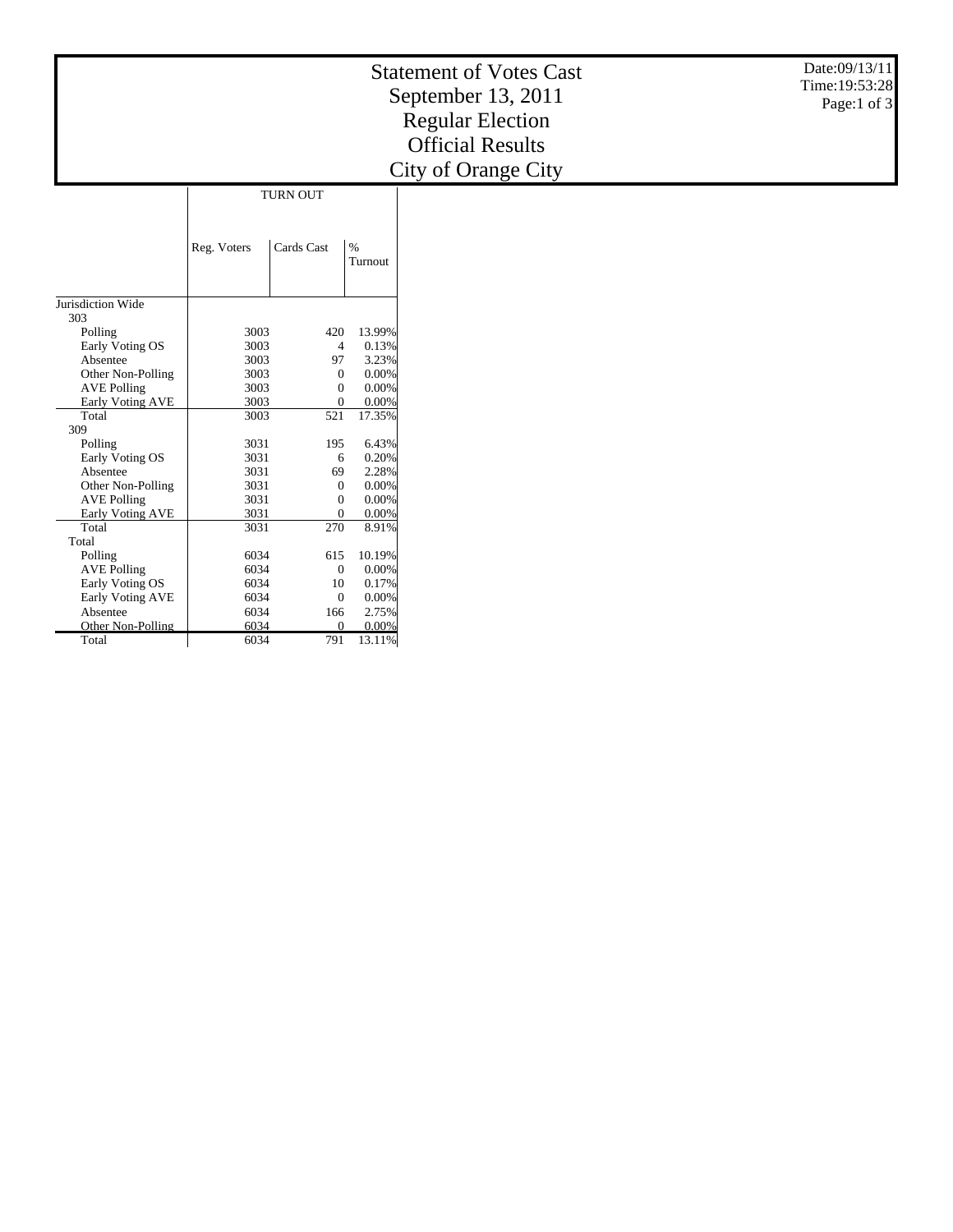| <b>Regular Election</b><br><b>Official Results</b><br>City of Orange City     |  |
|-------------------------------------------------------------------------------|--|
| <b>TURN OUT</b>                                                               |  |
|                                                                               |  |
|                                                                               |  |
|                                                                               |  |
| Reg. Voters<br>Cards Cast<br>$\%$<br>Turnout                                  |  |
|                                                                               |  |
|                                                                               |  |
| Jurisdiction Wide                                                             |  |
| 303                                                                           |  |
| 13.99%<br>Polling<br>3003<br>420                                              |  |
| 3003<br>$\overline{4}$<br>0.13%<br>Early Voting OS                            |  |
| 3003<br>3.23%<br>Absentee<br>97                                               |  |
| 3003<br>$\overline{0}$<br>0.00%<br>Other Non-Polling                          |  |
| 3003<br>$\overline{0}$<br>0.00%<br><b>AVE Polling</b>                         |  |
| 3003<br>$\Omega$<br>Early Voting AVE<br>0.00%                                 |  |
| Total<br>3003<br>521<br>17.35%                                                |  |
| 309                                                                           |  |
| 3031<br>6.43%<br>Polling<br>195                                               |  |
| 3031<br>0.20%<br>Early Voting OS<br>6                                         |  |
| 3031<br>2.28%<br>Absentee<br>69                                               |  |
| Other Non-Polling<br>3031<br>$\mathbf{0}$<br>0.00%                            |  |
| 3031<br>$\overline{0}$<br>0.00%<br><b>AVE Polling</b>                         |  |
| 3031<br>Early Voting AVE<br>$\overline{0}$<br>0.00%                           |  |
| Total<br>3031<br>270<br>8.91%                                                 |  |
| Total                                                                         |  |
| 6034<br>10.19%<br>Polling<br>615                                              |  |
| <b>AVE Polling</b><br>6034<br>$\mathbf{0}$<br>0.00%                           |  |
| Early Voting OS<br>6034<br>10<br>0.17%<br>6034                                |  |
| Early Voting AVE<br>$\mathbf{0}$<br>0.00%<br>6034<br>2.75%<br>166<br>Absentee |  |

Other Non-Polling

6034 0 0.00% 6034 791 13.11%

Total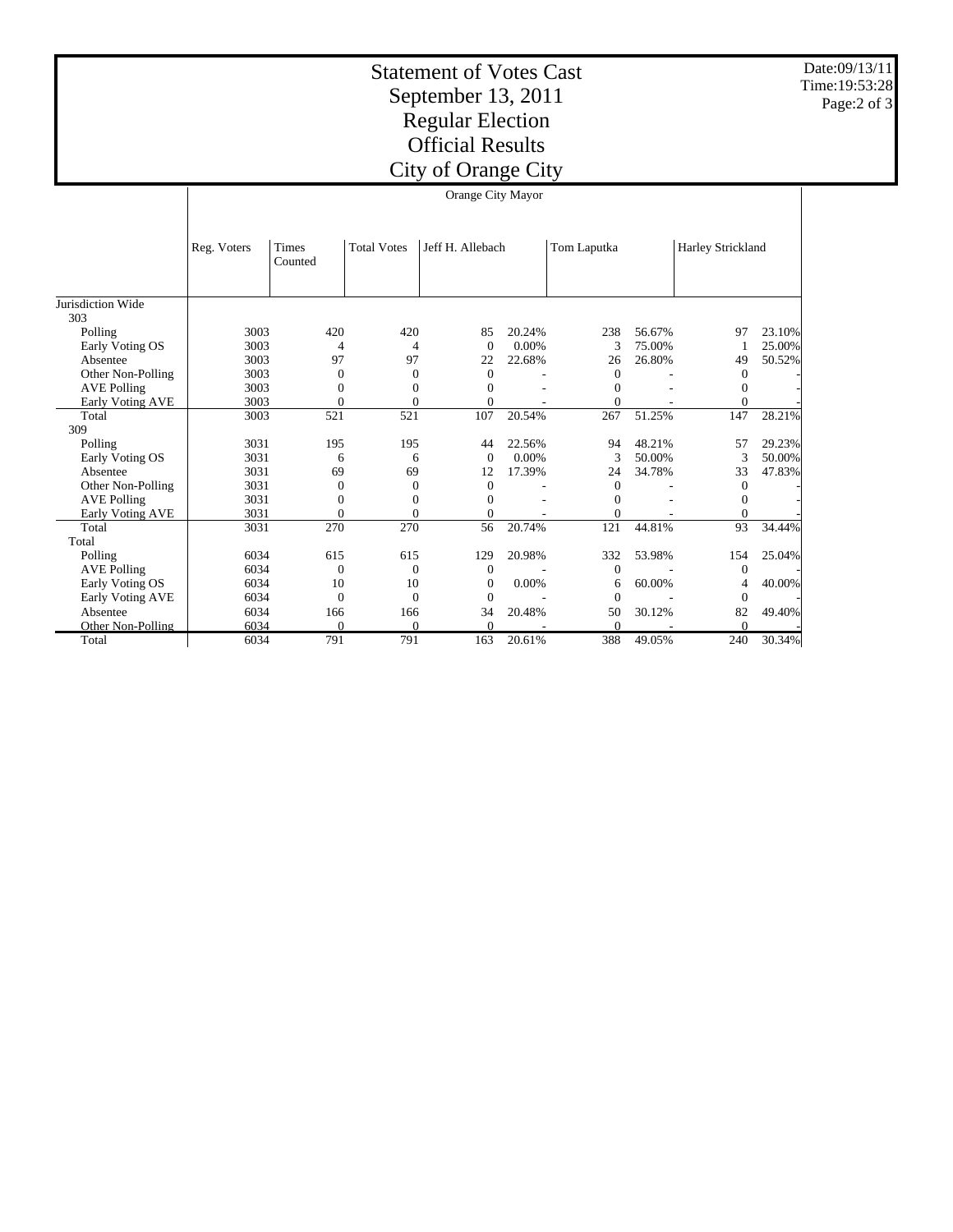Statement of Votes Cast September 13, 2011 Regular Election Official Results City of Orange City

Date:09/13/11 Time:19:53:28 Page:2 of 3

|                         | Orange City Mayor |                  |                    |                  |        |                |        |                   |        |  |
|-------------------------|-------------------|------------------|--------------------|------------------|--------|----------------|--------|-------------------|--------|--|
|                         | Reg. Voters       | Times<br>Counted | <b>Total Votes</b> | Jeff H. Allebach |        | Tom Laputka    |        | Harley Strickland |        |  |
| Jurisdiction Wide       |                   |                  |                    |                  |        |                |        |                   |        |  |
| 303                     |                   |                  |                    |                  |        |                |        |                   |        |  |
| Polling                 | 3003              | 420              | 420                | 85               | 20.24% | 238            | 56.67% | 97                | 23.10% |  |
| Early Voting OS         | 3003              | 4                | 4                  | $\Omega$         | 0.00%  | 3              | 75.00% |                   | 25.00% |  |
| Absentee                | 3003              | 97               | 97                 | 22               | 22.68% | 26             | 26.80% | 49                | 50.52% |  |
| Other Non-Polling       | 3003              | $\overline{0}$   | $\Omega$           | $\overline{0}$   |        | $\mathbf{0}$   |        | $\Omega$          |        |  |
| <b>AVE Polling</b>      | 3003              | $\Omega$         | $\Omega$           | $\Omega$         |        | $\Omega$       |        | $\Omega$          |        |  |
| <b>Early Voting AVE</b> | 3003              | $\theta$         | $\theta$           | $\Omega$         |        | $\Omega$       |        | $\Omega$          |        |  |
| Total                   | 3003              | 521              | 521                | 107              | 20.54% | 267            | 51.25% | 147               | 28.21% |  |
| 309                     |                   |                  |                    |                  |        |                |        |                   |        |  |
| Polling                 | 3031              | 195              | 195                | 44               | 22.56% | 94             | 48.21% | 57                | 29.23% |  |
| Early Voting OS         | 3031              | 6                | 6                  | $\Omega$         | 0.00%  | 3              | 50.00% | 3                 | 50.00% |  |
| Absentee                | 3031              | 69               | 69                 | 12               | 17.39% | 24             | 34.78% | 33                | 47.83% |  |
| Other Non-Polling       | 3031              | $\theta$         | $\Omega$           | $\Omega$         |        | $\Omega$       |        | $\Omega$          |        |  |
| <b>AVE Polling</b>      | 3031              | $\Omega$         | $\Omega$           | $\Omega$         |        | $\Omega$       |        | $\Omega$          |        |  |
| Early Voting AVE        | 3031              | $\mathbf{0}$     | $\Omega$           | $\Omega$         |        | $\theta$       |        | $\Omega$          |        |  |
| Total                   | 3031              | 270              | 270                | 56               | 20.74% | 121            | 44.81% | 93                | 34.44% |  |
| Total                   |                   |                  |                    |                  |        |                |        |                   |        |  |
| Polling                 | 6034              | 615              | 615                | 129              | 20.98% | 332            | 53.98% | 154               | 25.04% |  |
| <b>AVE Polling</b>      | 6034              | $\theta$         | $\Omega$           | $\overline{0}$   |        | $\overline{0}$ |        | $\mathbf{0}$      |        |  |
| Early Voting OS         | 6034              | 10               | 10                 | $\Omega$         | 0.00%  | 6              | 60.00% | 4                 | 40.00% |  |
| Early Voting AVE        | 6034              | $\theta$         | $\Omega$           | $\Omega$         |        | $\Omega$       |        | $\overline{0}$    |        |  |
| Absentee                | 6034              | 166              | 166                | 34               | 20.48% | 50             | 30.12% | 82                | 49.40% |  |
| Other Non-Polling       | 6034              | $\Omega$         | $\Omega$           | $\theta$         |        | $\Omega$       |        | $\Omega$          |        |  |
| Total                   | 6034              | 791              | 791                | 163              | 20.61% | 388            | 49.05% | 240               | 30.34% |  |